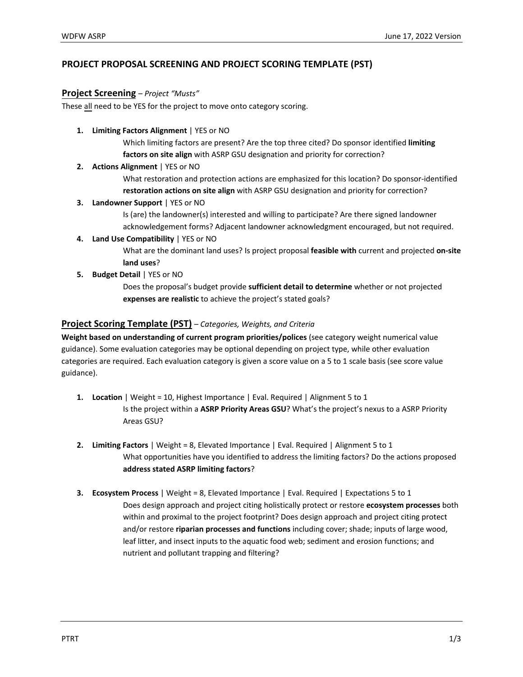# **PROJECT PROPOSAL SCREENING AND PROJECT SCORING TEMPLATE (PST)**

### **Project Screening** – *Project "Musts"*

These all need to be YES for the project to move onto category scoring.

**1. Limiting Factors Alignment** | YES or NO

Which limiting factors are present? Are the top three cited? Do sponsor identified **limiting factors on site align** with ASRP GSU designation and priority for correction?

**2. Actions Alignment** | YES or NO

What restoration and protection actions are emphasized for this location? Do sponsor-identified **restoration actions on site align** with ASRP GSU designation and priority for correction?

### **3. Landowner Support** | YES or NO

Is (are) the landowner(s) interested and willing to participate? Are there signed landowner acknowledgement forms? Adjacent landowner acknowledgment encouraged, but not required.

**4. Land Use Compatibility** | YES or NO

What are the dominant land uses? Is project proposal **feasible with** current and projected **on-site land uses**?

**5. Budget Detail** | YES or NO

Does the proposal's budget provide **sufficient detail to determine** whether or not projected **expenses are realistic** to achieve the project's stated goals?

### **Project Scoring Template (PST)** *– Categories, Weights, and Criteria*

**Weight based on understanding of current program priorities/polices** (see category weight numerical value guidance). Some evaluation categories may be optional depending on project type, while other evaluation categories are required. Each evaluation category is given a score value on a 5 to 1 scale basis (see score value guidance).

- **1. Location** | Weight = 10, Highest Importance | Eval. Required | Alignment 5 to 1 Is the project within a **ASRP Priority Areas GSU**? What's the project's nexus to a ASRP Priority Areas GSU?
- **2. Limiting Factors** | Weight = 8, Elevated Importance | Eval. Required | Alignment 5 to 1 What opportunities have you identified to address the limiting factors? Do the actions proposed **address stated ASRP limiting factors**?
- **3. Ecosystem Process** | Weight = 8, Elevated Importance | Eval. Required | Expectations 5 to 1 Does design approach and project citing holistically protect or restore **ecosystem processes** both within and proximal to the project footprint? Does design approach and project citing protect and/or restore **riparian processes and functions** including cover; shade; inputs of large wood, leaf litter, and insect inputs to the aquatic food web; sediment and erosion functions; and nutrient and pollutant trapping and filtering?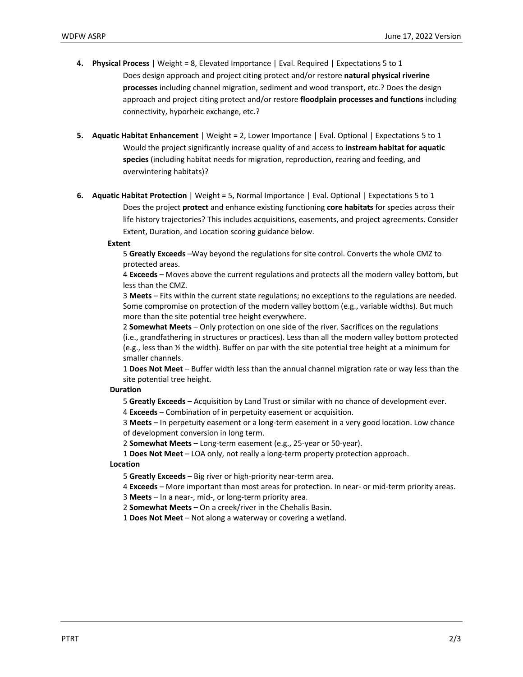- **4. Physical Process** | Weight = 8, Elevated Importance | Eval. Required | Expectations 5 to 1 Does design approach and project citing protect and/or restore **natural physical riverine processes** including channel migration, sediment and wood transport, etc.? Does the design approach and project citing protect and/or restore **floodplain processes and functions** including connectivity, hyporheic exchange, etc.?
- **5. Aquatic Habitat Enhancement** | Weight = 2, Lower Importance | Eval. Optional | Expectations 5 to 1 Would the project significantly increase quality of and access to **instream habitat for aquatic species** (including habitat needs for migration, reproduction, rearing and feeding, and overwintering habitats)?
- **6. Aquatic Habitat Protection** | Weight = 5, Normal Importance | Eval. Optional | Expectations 5 to 1 Does the project **protect** and enhance existing functioning **core habitats** for species across their life history trajectories? This includes acquisitions, easements, and project agreements. Consider Extent, Duration, and Location scoring guidance below.

#### **Extent**

5 **Greatly Exceeds** –Way beyond the regulations for site control. Converts the whole CMZ to protected areas.

4 **Exceeds** – Moves above the current regulations and protects all the modern valley bottom, but less than the CMZ.

3 **Meets** – Fits within the current state regulations; no exceptions to the regulations are needed. Some compromise on protection of the modern valley bottom (e.g., variable widths). But much more than the site potential tree height everywhere.

2 **Somewhat Meets** – Only protection on one side of the river. Sacrifices on the regulations (i.e., grandfathering in structures or practices). Less than all the modern valley bottom protected (e.g., less than ½ the width). Buffer on par with the site potential tree height at a minimum for smaller channels.

1 **Does Not Meet** – Buffer width less than the annual channel migration rate or way less than the site potential tree height.

### **Duration**

5 **Greatly Exceeds** – Acquisition by Land Trust or similar with no chance of development ever.

4 **Exceeds** – Combination of in perpetuity easement or acquisition.

3 **Meets** – In perpetuity easement or a long-term easement in a very good location. Low chance of development conversion in long term.

2 **Somewhat Meets** – Long-term easement (e.g., 25-year or 50-year).

1 **Does Not Meet** – LOA only, not really a long-term property protection approach.

**Location**

5 **Greatly Exceeds** – Big river or high-priority near-term area.

4 **Exceeds** – More important than most areas for protection. In near- or mid-term priority areas.

3 **Meets** – In a near-, mid-, or long-term priority area.

2 **Somewhat Meets** – On a creek/river in the Chehalis Basin.

1 **Does Not Meet** – Not along a waterway or covering a wetland.